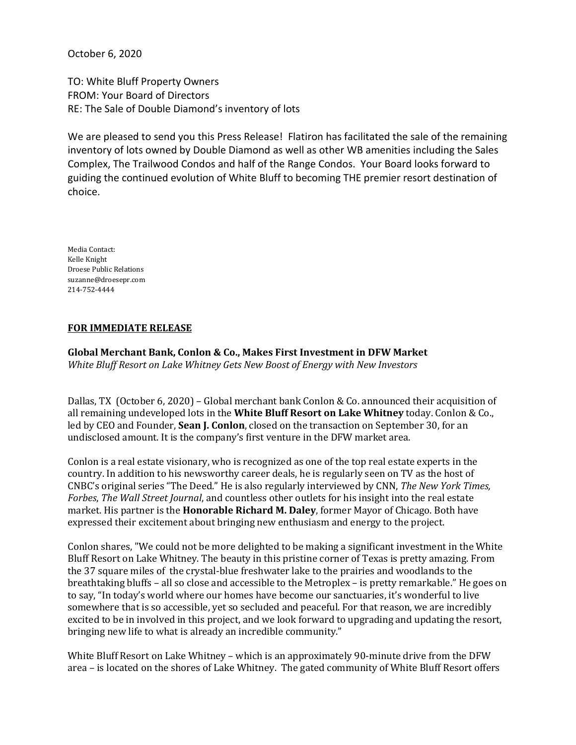October 6, 2020

TO: White Bluff Property Owners FROM: Your Board of Directors RE: The Sale of Double Diamond's inventory of lots

We are pleased to send you this Press Release! Flatiron has facilitated the sale of the remaining inventory of lots owned by Double Diamond as well as other WB amenities including the Sales Complex, The Trailwood Condos and half of the Range Condos. Your Board looks forward to guiding the continued evolution of White Bluff to becoming THE premier resort destination of choice.

Media Contact: Kelle Knight Droese Public Relations suzanne@droesepr.com 214-752-4444

# **FOR IMMEDIATE RELEASE**

**Global Merchant Bank, Conlon & Co., Makes First Investment in DFW Market** *White Bluff Resort on Lake Whitney Gets New Boost of Energy with New Investors*

Dallas, TX (October 6, 2020) – Global merchant bank Conlon & Co. announced their acquisition of all remaining undeveloped lots in the **White Bluff Resort on Lake Whitney** today. Conlon & Co., led by CEO and Founder, **Sean J. Conlon**, closed on the transaction on September 30, for an undisclosed amount. It is the company's first venture in the DFW market area.

Conlon is a real estate visionary, who is recognized as one of the top real estate experts in the country. In addition to his newsworthy career deals, he is regularly seen on TV as the host of CNBC's original series "The Deed." He is also regularly interviewed by CNN, *The New York Times, Forbes*, *The Wall Street Journal*, and countless other outlets for his insight into the real estate market. His partner is the **Honorable Richard M. Daley**, former Mayor of Chicago. Both have expressed their excitement about bringing new enthusiasm and energy to the project.

Conlon shares, "We could not be more delighted to be making a significant investment in the White Bluff Resort on Lake Whitney. The beauty in this pristine corner of Texas is pretty amazing. From the 37 square miles of the crystal-blue freshwater lake to the prairies and woodlands to the breathtaking bluffs – all so close and accessible to the Metroplex – is pretty remarkable." He goes on to say, "In today's world where our homes have become our sanctuaries, it's wonderful to live somewhere that is so accessible, yet so secluded and peaceful. For that reason, we are incredibly excited to be in involved in this project, and we look forward to upgrading and updating the resort, bringing new life to what is already an incredible community."

White Bluff Resort on Lake Whitney – which is an approximately 90-minute drive from the DFW area – is located on the shores of Lake Whitney. The gated community of White Bluff Resort offers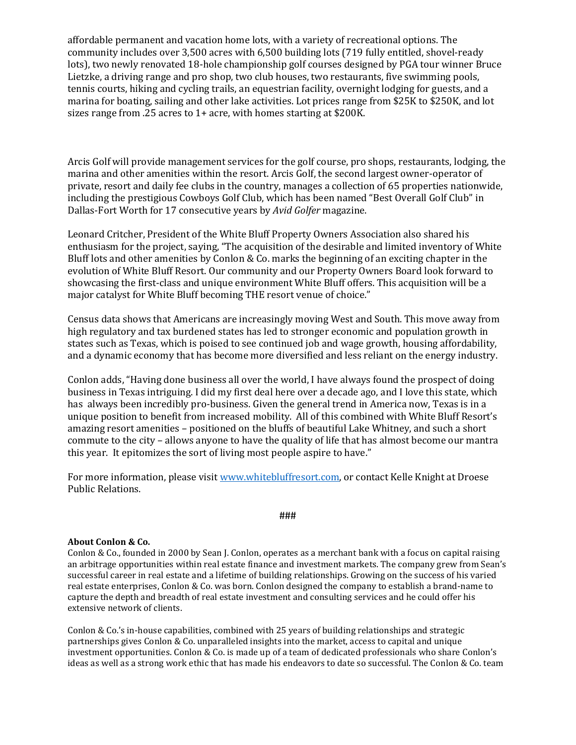affordable permanent and vacation home lots, with a variety of recreational options. The community includes over 3,500 acres with 6,500 building lots (719 fully entitled, shovel-ready lots), two newly renovated 18-hole championship golf courses designed by PGA tour winner Bruce Lietzke, a driving range and pro shop, two club houses, two restaurants, five swimming pools, tennis courts, hiking and cycling trails, an equestrian facility, overnight lodging for guests, and a marina for boating, sailing and other lake activities. Lot prices range from \$25K to \$250K, and lot sizes range from .25 acres to 1+ acre, with homes starting at \$200K.

Arcis Golf will provide management services for the golf course, pro shops, restaurants, lodging, the marina and other amenities within the resort. Arcis Golf, the second largest owner-operator of private, resort and daily fee clubs in the country, manages a collection of 65 properties nationwide, including the prestigious Cowboys Golf Club, which has been named "Best Overall Golf Club" in Dallas-Fort Worth for 17 consecutive years by *Avid Golfer* magazine.

Leonard Critcher, President of the White Bluff Property Owners Association also shared his enthusiasm for the project, saying, "The acquisition of the desirable and limited inventory of White Bluff lots and other amenities by Conlon & Co. marks the beginning of an exciting chapter in the evolution of White Bluff Resort. Our community and our Property Owners Board look forward to showcasing the first-class and unique environment White Bluff offers. This acquisition will be a major catalyst for White Bluff becoming THE resort venue of choice."

Census data shows that Americans are increasingly moving West and South. This move away from high regulatory and tax burdened states has led to stronger economic and population growth in states such as Texas, which is poised to see continued job and wage growth, housing affordability, and a dynamic economy that has become more diversified and less reliant on the energy industry.

Conlon adds, "Having done business all over the world, I have always found the prospect of doing business in Texas intriguing. I did my first deal here over a decade ago, and I love this state, which has always been incredibly pro-business. Given the general trend in America now, Texas is in a unique position to benefit from increased mobility. All of this combined with White Bluff Resort's amazing resort amenities – positioned on the bluffs of beautiful Lake Whitney, and such a short commute to the city – allows anyone to have the quality of life that has almost become our mantra this year. It epitomizes the sort of living most people aspire to have."

For more information, please visit [www.whitebluffresort.com,](http://www.whitebluffresort.com/) or contact Kelle Knight at Droese Public Relations.

## ###

## **About Conlon & Co.**

Conlon & Co., founded in 2000 by Sean J. Conlon, operates as a merchant bank with a focus on capital raising an arbitrage opportunities within real estate finance and investment markets. The company grew from Sean's successful career in real estate and a lifetime of building relationships. Growing on the success of his varied real estate enterprises, Conlon & Co. was born. Conlon designed the company to establish a brand-name to capture the depth and breadth of real estate investment and consulting services and he could offer his extensive network of clients.

Conlon & Co.'s in-house capabilities, combined with 25 years of building relationships and strategic partnerships gives Conlon & Co. unparalleled insights into the market, access to capital and unique investment opportunities. Conlon & Co. is made up of a team of dedicated professionals who share Conlon's ideas as well as a strong work ethic that has made his endeavors to date so successful. The Conlon & Co. team